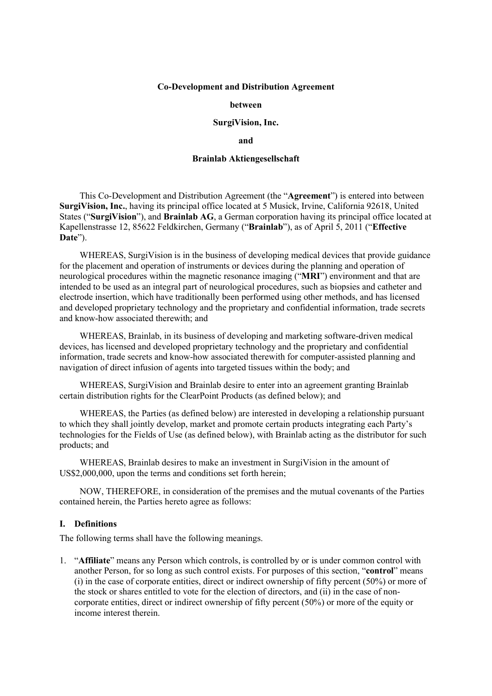#### Co-Development and Distribution Agreement

#### between

#### SurgiVision, Inc.

#### and

#### Brainlab Aktiengesellschaft

This Co-Development and Distribution Agreement (the "Agreement") is entered into between SurgiVision, Inc., having its principal office located at 5 Musick, Irvine, California 92618, United States ("SurgiVision"), and Brainlab AG, a German corporation having its principal office located at Kapellenstrasse 12, 85622 Feldkirchen, Germany ("Brainlab"), as of April 5, 2011 ("Effective Date").

WHEREAS, SurgiVision is in the business of developing medical devices that provide guidance for the placement and operation of instruments or devices during the planning and operation of neurological procedures within the magnetic resonance imaging ("MRI") environment and that are intended to be used as an integral part of neurological procedures, such as biopsies and catheter and electrode insertion, which have traditionally been performed using other methods, and has licensed and developed proprietary technology and the proprietary and confidential information, trade secrets and know-how associated therewith; and

WHEREAS, Brainlab, in its business of developing and marketing software-driven medical devices, has licensed and developed proprietary technology and the proprietary and confidential information, trade secrets and know-how associated therewith for computer-assisted planning and navigation of direct infusion of agents into targeted tissues within the body; and

WHEREAS, SurgiVision and Brainlab desire to enter into an agreement granting Brainlab certain distribution rights for the ClearPoint Products (as defined below); and

WHEREAS, the Parties (as defined below) are interested in developing a relationship pursuant to which they shall jointly develop, market and promote certain products integrating each Party's technologies for the Fields of Use (as defined below), with Brainlab acting as the distributor for such products; and

WHEREAS, Brainlab desires to make an investment in SurgiVision in the amount of US\$2,000,000, upon the terms and conditions set forth herein;

NOW, THEREFORE, in consideration of the premises and the mutual covenants of the Parties contained herein, the Parties hereto agree as follows:

### I. Definitions

The following terms shall have the following meanings.

1. "Affiliate" means any Person which controls, is controlled by or is under common control with another Person, for so long as such control exists. For purposes of this section, "control" means (i) in the case of corporate entities, direct or indirect ownership of fifty percent (50%) or more of the stock or shares entitled to vote for the election of directors, and (ii) in the case of noncorporate entities, direct or indirect ownership of fifty percent (50%) or more of the equity or income interest therein.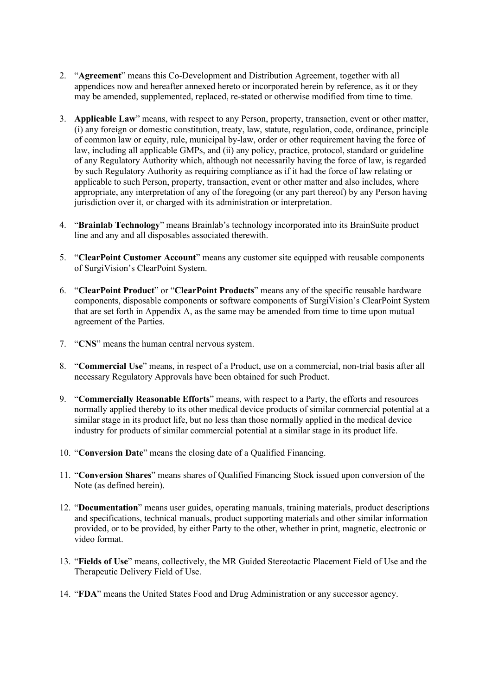- 2. "Agreement" means this Co-Development and Distribution Agreement, together with all appendices now and hereafter annexed hereto or incorporated herein by reference, as it or they may be amended, supplemented, replaced, re-stated or otherwise modified from time to time.
- 3. Applicable Law" means, with respect to any Person, property, transaction, event or other matter, (i) any foreign or domestic constitution, treaty, law, statute, regulation, code, ordinance, principle of common law or equity, rule, municipal by-law, order or other requirement having the force of law, including all applicable GMPs, and (ii) any policy, practice, protocol, standard or guideline of any Regulatory Authority which, although not necessarily having the force of law, is regarded by such Regulatory Authority as requiring compliance as if it had the force of law relating or applicable to such Person, property, transaction, event or other matter and also includes, where appropriate, any interpretation of any of the foregoing (or any part thereof) by any Person having jurisdiction over it, or charged with its administration or interpretation.
- 4. "Brainlab Technology" means Brainlab's technology incorporated into its BrainSuite product line and any and all disposables associated therewith.
- 5. "ClearPoint Customer Account" means any customer site equipped with reusable components of SurgiVision's ClearPoint System.
- 6. "ClearPoint Product" or "ClearPoint Products" means any of the specific reusable hardware components, disposable components or software components of SurgiVision's ClearPoint System that are set forth in Appendix A, as the same may be amended from time to time upon mutual agreement of the Parties.
- 7. "CNS" means the human central nervous system.
- 8. "Commercial Use" means, in respect of a Product, use on a commercial, non-trial basis after all necessary Regulatory Approvals have been obtained for such Product.
- 9. "Commercially Reasonable Efforts" means, with respect to a Party, the efforts and resources normally applied thereby to its other medical device products of similar commercial potential at a similar stage in its product life, but no less than those normally applied in the medical device industry for products of similar commercial potential at a similar stage in its product life.
- 10. "Conversion Date" means the closing date of a Qualified Financing.
- 11. "Conversion Shares" means shares of Qualified Financing Stock issued upon conversion of the Note (as defined herein).
- 12. "Documentation" means user guides, operating manuals, training materials, product descriptions and specifications, technical manuals, product supporting materials and other similar information provided, or to be provided, by either Party to the other, whether in print, magnetic, electronic or video format.
- 13. "Fields of Use" means, collectively, the MR Guided Stereotactic Placement Field of Use and the Therapeutic Delivery Field of Use.
- 14. "FDA" means the United States Food and Drug Administration or any successor agency.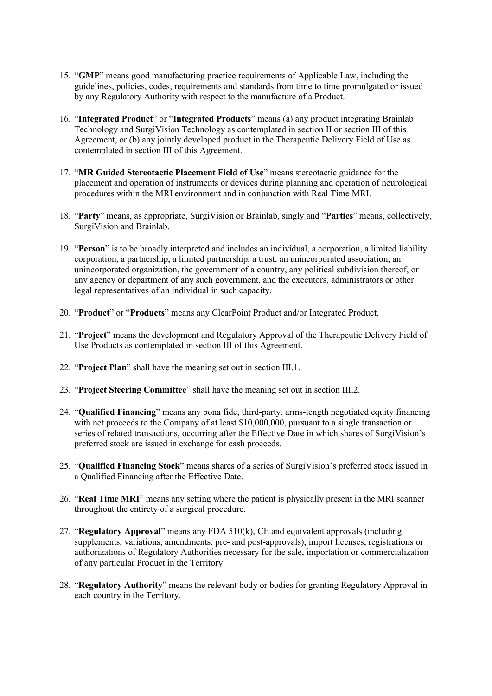- 15. "GMP" means good manufacturing practice requirements of Applicable Law, including the guidelines, policies, codes, requirements and standards from time to time promulgated or issued by any Regulatory Authority with respect to the manufacture of a Product.
- 16. "Integrated Product" or "Integrated Products" means (a) any product integrating Brainlab Technology and SurgiVision Technology as contemplated in section II or section III of this Agreement, or (b) any jointly developed product in the Therapeutic Delivery Field of Use as contemplated in section III of this Agreement.
- 17. "MR Guided Stereotactic Placement Field of Use" means stereotactic guidance for the placement and operation of instruments or devices during planning and operation of neurological procedures within the MRI environment and in conjunction with Real Time MRI.
- 18. "Party" means, as appropriate, SurgiVision or Brainlab, singly and "Parties" means, collectively, SurgiVision and Brainlab.
- 19. "Person" is to be broadly interpreted and includes an individual, a corporation, a limited liability corporation, a partnership, a limited partnership, a trust, an unincorporated association, an unincorporated organization, the government of a country, any political subdivision thereof, or any agency or department of any such government, and the executors, administrators or other legal representatives of an individual in such capacity.
- 20. "Product" or "Products" means any ClearPoint Product and/or Integrated Product.
- 21. "Project" means the development and Regulatory Approval of the Therapeutic Delivery Field of Use Products as contemplated in section III of this Agreement.
- 22. "Project Plan" shall have the meaning set out in section III.1.
- 23. "Project Steering Committee" shall have the meaning set out in section III.2.
- 24. "Qualified Financing" means any bona fide, third-party, arms-length negotiated equity financing with net proceeds to the Company of at least \$10,000,000, pursuant to a single transaction or series of related transactions, occurring after the Effective Date in which shares of SurgiVision's preferred stock are issued in exchange for cash proceeds.
- 25. "Qualified Financing Stock" means shares of a series of SurgiVision's preferred stock issued in a Qualified Financing after the Effective Date.
- 26. "Real Time MRI" means any setting where the patient is physically present in the MRI scanner throughout the entirety of a surgical procedure.
- 27. "Regulatory Approval" means any FDA 510(k), CE and equivalent approvals (including supplements, variations, amendments, pre- and post-approvals), import licenses, registrations or authorizations of Regulatory Authorities necessary for the sale, importation or commercialization of any particular Product in the Territory.
- 28. "Regulatory Authority" means the relevant body or bodies for granting Regulatory Approval in each country in the Territory.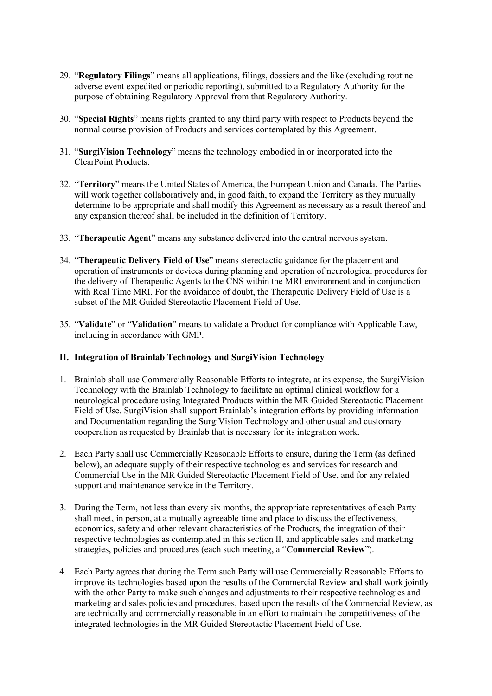- 29. "Regulatory Filings" means all applications, filings, dossiers and the like (excluding routine adverse event expedited or periodic reporting), submitted to a Regulatory Authority for the purpose of obtaining Regulatory Approval from that Regulatory Authority.
- 30. "Special Rights" means rights granted to any third party with respect to Products beyond the normal course provision of Products and services contemplated by this Agreement.
- 31. "SurgiVision Technology" means the technology embodied in or incorporated into the ClearPoint Products.
- 32. "Territory" means the United States of America, the European Union and Canada. The Parties will work together collaboratively and, in good faith, to expand the Territory as they mutually determine to be appropriate and shall modify this Agreement as necessary as a result thereof and any expansion thereof shall be included in the definition of Territory.
- 33. "Therapeutic Agent" means any substance delivered into the central nervous system.
- 34. "Therapeutic Delivery Field of Use" means stereotactic guidance for the placement and operation of instruments or devices during planning and operation of neurological procedures for the delivery of Therapeutic Agents to the CNS within the MRI environment and in conjunction with Real Time MRI. For the avoidance of doubt, the Therapeutic Delivery Field of Use is a subset of the MR Guided Stereotactic Placement Field of Use.
- 35. "Validate" or "Validation" means to validate a Product for compliance with Applicable Law, including in accordance with GMP.

# II. Integration of Brainlab Technology and SurgiVision Technology

- 1. Brainlab shall use Commercially Reasonable Efforts to integrate, at its expense, the SurgiVision Technology with the Brainlab Technology to facilitate an optimal clinical workflow for a neurological procedure using Integrated Products within the MR Guided Stereotactic Placement Field of Use. SurgiVision shall support Brainlab's integration efforts by providing information and Documentation regarding the SurgiVision Technology and other usual and customary cooperation as requested by Brainlab that is necessary for its integration work.
- 2. Each Party shall use Commercially Reasonable Efforts to ensure, during the Term (as defined below), an adequate supply of their respective technologies and services for research and Commercial Use in the MR Guided Stereotactic Placement Field of Use, and for any related support and maintenance service in the Territory.
- 3. During the Term, not less than every six months, the appropriate representatives of each Party shall meet, in person, at a mutually agreeable time and place to discuss the effectiveness, economics, safety and other relevant characteristics of the Products, the integration of their respective technologies as contemplated in this section II, and applicable sales and marketing strategies, policies and procedures (each such meeting, a "Commercial Review").
- 4. Each Party agrees that during the Term such Party will use Commercially Reasonable Efforts to improve its technologies based upon the results of the Commercial Review and shall work jointly with the other Party to make such changes and adjustments to their respective technologies and marketing and sales policies and procedures, based upon the results of the Commercial Review, as are technically and commercially reasonable in an effort to maintain the competitiveness of the integrated technologies in the MR Guided Stereotactic Placement Field of Use.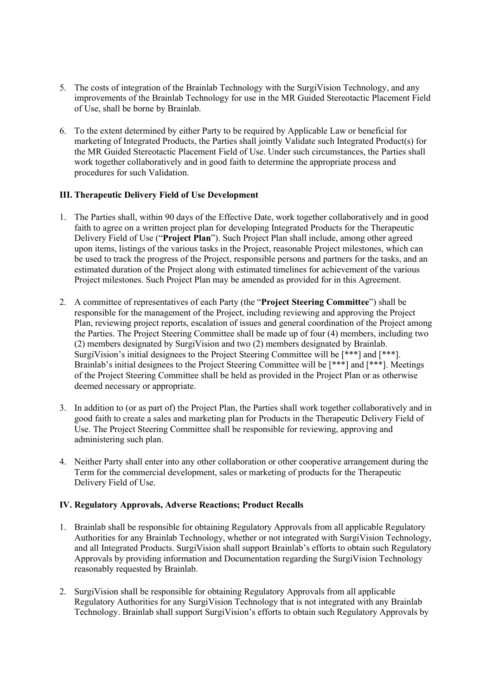- 5. The costs of integration of the Brainlab Technology with the SurgiVision Technology, and any improvements of the Brainlab Technology for use in the MR Guided Stereotactic Placement Field of Use, shall be borne by Brainlab.
- 6. To the extent determined by either Party to be required by Applicable Law or beneficial for marketing of Integrated Products, the Parties shall jointly Validate such Integrated Product(s) for the MR Guided Stereotactic Placement Field of Use. Under such circumstances, the Parties shall work together collaboratively and in good faith to determine the appropriate process and procedures for such Validation.

# III. Therapeutic Delivery Field of Use Development

- 1. The Parties shall, within 90 days of the Effective Date, work together collaboratively and in good faith to agree on a written project plan for developing Integrated Products for the Therapeutic Delivery Field of Use ("Project Plan"). Such Project Plan shall include, among other agreed upon items, listings of the various tasks in the Project, reasonable Project milestones, which can be used to track the progress of the Project, responsible persons and partners for the tasks, and an estimated duration of the Project along with estimated timelines for achievement of the various Project milestones. Such Project Plan may be amended as provided for in this Agreement.
- 2. A committee of representatives of each Party (the "Project Steering Committee") shall be responsible for the management of the Project, including reviewing and approving the Project Plan, reviewing project reports, escalation of issues and general coordination of the Project among the Parties. The Project Steering Committee shall be made up of four (4) members, including two (2) members designated by SurgiVision and two (2) members designated by Brainlab. SurgiVision's initial designees to the Project Steering Committee will be [\*\*\*] and [\*\*\*]. Brainlab's initial designees to the Project Steering Committee will be [\*\*\*] and [\*\*\*]. Meetings of the Project Steering Committee shall be held as provided in the Project Plan or as otherwise deemed necessary or appropriate.
- 3. In addition to (or as part of) the Project Plan, the Parties shall work together collaboratively and in good faith to create a sales and marketing plan for Products in the Therapeutic Delivery Field of Use. The Project Steering Committee shall be responsible for reviewing, approving and administering such plan.
- 4. Neither Party shall enter into any other collaboration or other cooperative arrangement during the Term for the commercial development, sales or marketing of products for the Therapeutic Delivery Field of Use.

# IV. Regulatory Approvals, Adverse Reactions; Product Recalls

- 1. Brainlab shall be responsible for obtaining Regulatory Approvals from all applicable Regulatory Authorities for any Brainlab Technology, whether or not integrated with SurgiVision Technology, and all Integrated Products. SurgiVision shall support Brainlab's efforts to obtain such Regulatory Approvals by providing information and Documentation regarding the SurgiVision Technology reasonably requested by Brainlab.
- 2. SurgiVision shall be responsible for obtaining Regulatory Approvals from all applicable Regulatory Authorities for any SurgiVision Technology that is not integrated with any Brainlab Technology. Brainlab shall support SurgiVision's efforts to obtain such Regulatory Approvals by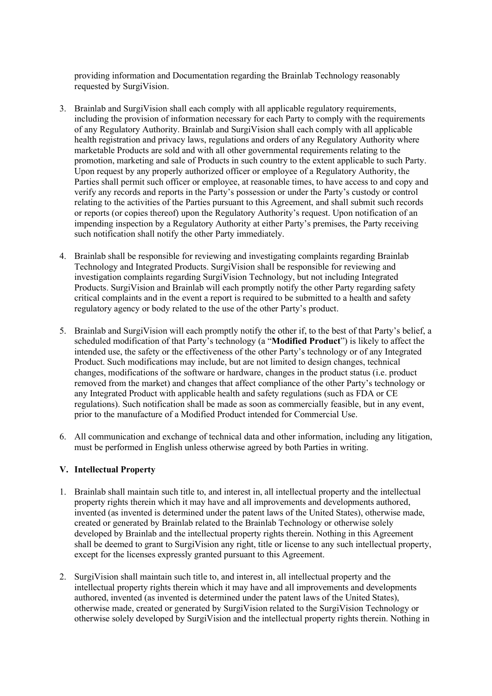providing information and Documentation regarding the Brainlab Technology reasonably requested by SurgiVision.

- 3. Brainlab and SurgiVision shall each comply with all applicable regulatory requirements, including the provision of information necessary for each Party to comply with the requirements of any Regulatory Authority. Brainlab and SurgiVision shall each comply with all applicable health registration and privacy laws, regulations and orders of any Regulatory Authority where marketable Products are sold and with all other governmental requirements relating to the promotion, marketing and sale of Products in such country to the extent applicable to such Party. Upon request by any properly authorized officer or employee of a Regulatory Authority, the Parties shall permit such officer or employee, at reasonable times, to have access to and copy and verify any records and reports in the Party's possession or under the Party's custody or control relating to the activities of the Parties pursuant to this Agreement, and shall submit such records or reports (or copies thereof) upon the Regulatory Authority's request. Upon notification of an impending inspection by a Regulatory Authority at either Party's premises, the Party receiving such notification shall notify the other Party immediately.
- 4. Brainlab shall be responsible for reviewing and investigating complaints regarding Brainlab Technology and Integrated Products. SurgiVision shall be responsible for reviewing and investigation complaints regarding SurgiVision Technology, but not including Integrated Products. SurgiVision and Brainlab will each promptly notify the other Party regarding safety critical complaints and in the event a report is required to be submitted to a health and safety regulatory agency or body related to the use of the other Party's product.
- 5. Brainlab and SurgiVision will each promptly notify the other if, to the best of that Party's belief, a scheduled modification of that Party's technology (a "Modified Product") is likely to affect the intended use, the safety or the effectiveness of the other Party's technology or of any Integrated Product. Such modifications may include, but are not limited to design changes, technical changes, modifications of the software or hardware, changes in the product status (i.e. product removed from the market) and changes that affect compliance of the other Party's technology or any Integrated Product with applicable health and safety regulations (such as FDA or CE regulations). Such notification shall be made as soon as commercially feasible, but in any event, prior to the manufacture of a Modified Product intended for Commercial Use.
- 6. All communication and exchange of technical data and other information, including any litigation, must be performed in English unless otherwise agreed by both Parties in writing.

# V. Intellectual Property

- 1. Brainlab shall maintain such title to, and interest in, all intellectual property and the intellectual property rights therein which it may have and all improvements and developments authored, invented (as invented is determined under the patent laws of the United States), otherwise made, created or generated by Brainlab related to the Brainlab Technology or otherwise solely developed by Brainlab and the intellectual property rights therein. Nothing in this Agreement shall be deemed to grant to SurgiVision any right, title or license to any such intellectual property, except for the licenses expressly granted pursuant to this Agreement.
- 2. SurgiVision shall maintain such title to, and interest in, all intellectual property and the intellectual property rights therein which it may have and all improvements and developments authored, invented (as invented is determined under the patent laws of the United States), otherwise made, created or generated by SurgiVision related to the SurgiVision Technology or otherwise solely developed by SurgiVision and the intellectual property rights therein. Nothing in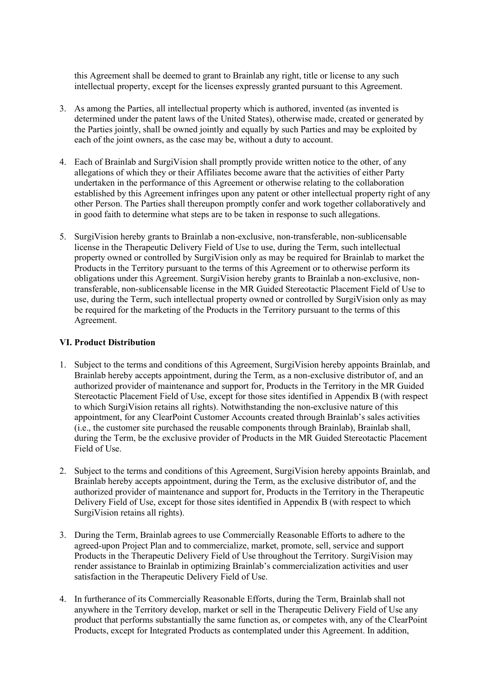this Agreement shall be deemed to grant to Brainlab any right, title or license to any such intellectual property, except for the licenses expressly granted pursuant to this Agreement.

- 3. As among the Parties, all intellectual property which is authored, invented (as invented is determined under the patent laws of the United States), otherwise made, created or generated by the Parties jointly, shall be owned jointly and equally by such Parties and may be exploited by each of the joint owners, as the case may be, without a duty to account.
- 4. Each of Brainlab and SurgiVision shall promptly provide written notice to the other, of any allegations of which they or their Affiliates become aware that the activities of either Party undertaken in the performance of this Agreement or otherwise relating to the collaboration established by this Agreement infringes upon any patent or other intellectual property right of any other Person. The Parties shall thereupon promptly confer and work together collaboratively and in good faith to determine what steps are to be taken in response to such allegations.
- 5. SurgiVision hereby grants to Brainlab a non-exclusive, non-transferable, non-sublicensable license in the Therapeutic Delivery Field of Use to use, during the Term, such intellectual property owned or controlled by SurgiVision only as may be required for Brainlab to market the Products in the Territory pursuant to the terms of this Agreement or to otherwise perform its obligations under this Agreement. SurgiVision hereby grants to Brainlab a non-exclusive, nontransferable, non-sublicensable license in the MR Guided Stereotactic Placement Field of Use to use, during the Term, such intellectual property owned or controlled by SurgiVision only as may be required for the marketing of the Products in the Territory pursuant to the terms of this Agreement.

# VI. Product Distribution

- 1. Subject to the terms and conditions of this Agreement, SurgiVision hereby appoints Brainlab, and Brainlab hereby accepts appointment, during the Term, as a non-exclusive distributor of, and an authorized provider of maintenance and support for, Products in the Territory in the MR Guided Stereotactic Placement Field of Use, except for those sites identified in Appendix B (with respect to which SurgiVision retains all rights). Notwithstanding the non-exclusive nature of this appointment, for any ClearPoint Customer Accounts created through Brainlab's sales activities (i.e., the customer site purchased the reusable components through Brainlab), Brainlab shall, during the Term, be the exclusive provider of Products in the MR Guided Stereotactic Placement Field of Use.
- 2. Subject to the terms and conditions of this Agreement, SurgiVision hereby appoints Brainlab, and Brainlab hereby accepts appointment, during the Term, as the exclusive distributor of, and the authorized provider of maintenance and support for, Products in the Territory in the Therapeutic Delivery Field of Use, except for those sites identified in Appendix B (with respect to which SurgiVision retains all rights).
- 3. During the Term, Brainlab agrees to use Commercially Reasonable Efforts to adhere to the agreed-upon Project Plan and to commercialize, market, promote, sell, service and support Products in the Therapeutic Delivery Field of Use throughout the Territory. SurgiVision may render assistance to Brainlab in optimizing Brainlab's commercialization activities and user satisfaction in the Therapeutic Delivery Field of Use.
- 4. In furtherance of its Commercially Reasonable Efforts, during the Term, Brainlab shall not anywhere in the Territory develop, market or sell in the Therapeutic Delivery Field of Use any product that performs substantially the same function as, or competes with, any of the ClearPoint Products, except for Integrated Products as contemplated under this Agreement. In addition,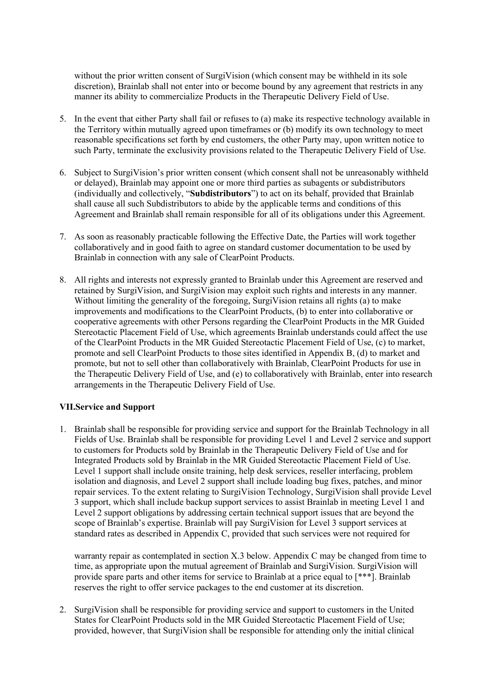without the prior written consent of SurgiVision (which consent may be withheld in its sole discretion), Brainlab shall not enter into or become bound by any agreement that restricts in any manner its ability to commercialize Products in the Therapeutic Delivery Field of Use.

- 5. In the event that either Party shall fail or refuses to (a) make its respective technology available in the Territory within mutually agreed upon timeframes or (b) modify its own technology to meet reasonable specifications set forth by end customers, the other Party may, upon written notice to such Party, terminate the exclusivity provisions related to the Therapeutic Delivery Field of Use.
- 6. Subject to SurgiVision's prior written consent (which consent shall not be unreasonably withheld or delayed), Brainlab may appoint one or more third parties as subagents or subdistributors (individually and collectively, "Subdistributors") to act on its behalf, provided that Brainlab shall cause all such Subdistributors to abide by the applicable terms and conditions of this Agreement and Brainlab shall remain responsible for all of its obligations under this Agreement.
- 7. As soon as reasonably practicable following the Effective Date, the Parties will work together collaboratively and in good faith to agree on standard customer documentation to be used by Brainlab in connection with any sale of ClearPoint Products.
- 8. All rights and interests not expressly granted to Brainlab under this Agreement are reserved and retained by SurgiVision, and SurgiVision may exploit such rights and interests in any manner. Without limiting the generality of the foregoing, SurgiVision retains all rights (a) to make improvements and modifications to the ClearPoint Products, (b) to enter into collaborative or cooperative agreements with other Persons regarding the ClearPoint Products in the MR Guided Stereotactic Placement Field of Use, which agreements Brainlab understands could affect the use of the ClearPoint Products in the MR Guided Stereotactic Placement Field of Use, (c) to market, promote and sell ClearPoint Products to those sites identified in Appendix B, (d) to market and promote, but not to sell other than collaboratively with Brainlab, ClearPoint Products for use in the Therapeutic Delivery Field of Use, and (e) to collaboratively with Brainlab, enter into research arrangements in the Therapeutic Delivery Field of Use.

# VII.Service and Support

1. Brainlab shall be responsible for providing service and support for the Brainlab Technology in all Fields of Use. Brainlab shall be responsible for providing Level 1 and Level 2 service and support to customers for Products sold by Brainlab in the Therapeutic Delivery Field of Use and for Integrated Products sold by Brainlab in the MR Guided Stereotactic Placement Field of Use. Level 1 support shall include onsite training, help desk services, reseller interfacing, problem isolation and diagnosis, and Level 2 support shall include loading bug fixes, patches, and minor repair services. To the extent relating to SurgiVision Technology, SurgiVision shall provide Level 3 support, which shall include backup support services to assist Brainlab in meeting Level 1 and Level 2 support obligations by addressing certain technical support issues that are beyond the scope of Brainlab's expertise. Brainlab will pay SurgiVision for Level 3 support services at standard rates as described in Appendix C, provided that such services were not required for

warranty repair as contemplated in section X.3 below. Appendix C may be changed from time to time, as appropriate upon the mutual agreement of Brainlab and SurgiVision. SurgiVision will provide spare parts and other items for service to Brainlab at a price equal to [\*\*\*]. Brainlab reserves the right to offer service packages to the end customer at its discretion.

2. SurgiVision shall be responsible for providing service and support to customers in the United States for ClearPoint Products sold in the MR Guided Stereotactic Placement Field of Use; provided, however, that SurgiVision shall be responsible for attending only the initial clinical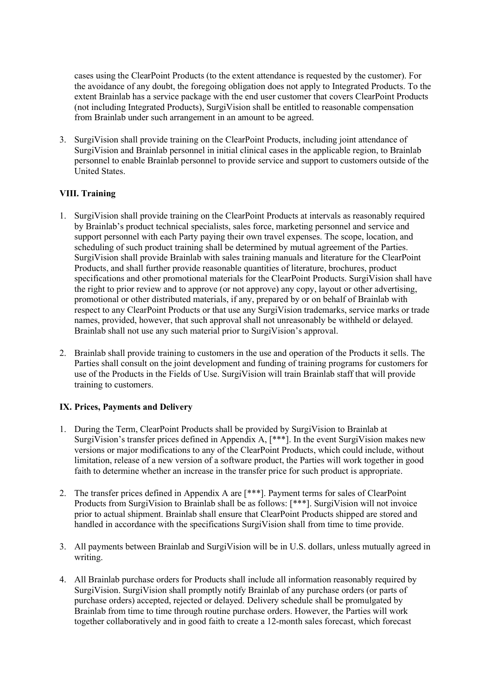cases using the ClearPoint Products (to the extent attendance is requested by the customer). For the avoidance of any doubt, the foregoing obligation does not apply to Integrated Products. To the extent Brainlab has a service package with the end user customer that covers ClearPoint Products (not including Integrated Products), SurgiVision shall be entitled to reasonable compensation from Brainlab under such arrangement in an amount to be agreed.

3. SurgiVision shall provide training on the ClearPoint Products, including joint attendance of SurgiVision and Brainlab personnel in initial clinical cases in the applicable region, to Brainlab personnel to enable Brainlab personnel to provide service and support to customers outside of the United States.

# VIII. Training

- 1. SurgiVision shall provide training on the ClearPoint Products at intervals as reasonably required by Brainlab's product technical specialists, sales force, marketing personnel and service and support personnel with each Party paying their own travel expenses. The scope, location, and scheduling of such product training shall be determined by mutual agreement of the Parties. SurgiVision shall provide Brainlab with sales training manuals and literature for the ClearPoint Products, and shall further provide reasonable quantities of literature, brochures, product specifications and other promotional materials for the ClearPoint Products. SurgiVision shall have the right to prior review and to approve (or not approve) any copy, layout or other advertising, promotional or other distributed materials, if any, prepared by or on behalf of Brainlab with respect to any ClearPoint Products or that use any SurgiVision trademarks, service marks or trade names, provided, however, that such approval shall not unreasonably be withheld or delayed. Brainlab shall not use any such material prior to SurgiVision's approval.
- 2. Brainlab shall provide training to customers in the use and operation of the Products it sells. The Parties shall consult on the joint development and funding of training programs for customers for use of the Products in the Fields of Use. SurgiVision will train Brainlab staff that will provide training to customers.

# IX. Prices, Payments and Delivery

- 1. During the Term, ClearPoint Products shall be provided by SurgiVision to Brainlab at SurgiVision's transfer prices defined in Appendix A, [\*\*\*]. In the event SurgiVision makes new versions or major modifications to any of the ClearPoint Products, which could include, without limitation, release of a new version of a software product, the Parties will work together in good faith to determine whether an increase in the transfer price for such product is appropriate.
- 2. The transfer prices defined in Appendix A are [\*\*\*]. Payment terms for sales of ClearPoint Products from SurgiVision to Brainlab shall be as follows: [\*\*\*]. SurgiVision will not invoice prior to actual shipment. Brainlab shall ensure that ClearPoint Products shipped are stored and handled in accordance with the specifications SurgiVision shall from time to time provide.
- 3. All payments between Brainlab and SurgiVision will be in U.S. dollars, unless mutually agreed in writing.
- 4. All Brainlab purchase orders for Products shall include all information reasonably required by SurgiVision. SurgiVision shall promptly notify Brainlab of any purchase orders (or parts of purchase orders) accepted, rejected or delayed. Delivery schedule shall be promulgated by Brainlab from time to time through routine purchase orders. However, the Parties will work together collaboratively and in good faith to create a 12-month sales forecast, which forecast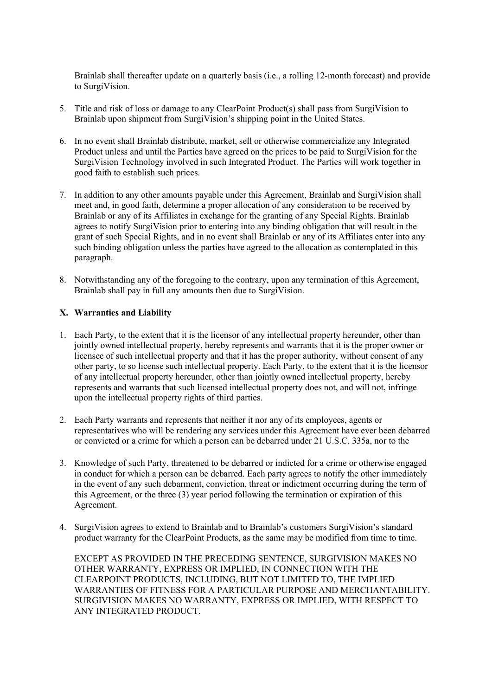Brainlab shall thereafter update on a quarterly basis (i.e., a rolling 12-month forecast) and provide to SurgiVision.

- 5. Title and risk of loss or damage to any ClearPoint Product(s) shall pass from SurgiVision to Brainlab upon shipment from SurgiVision's shipping point in the United States.
- 6. In no event shall Brainlab distribute, market, sell or otherwise commercialize any Integrated Product unless and until the Parties have agreed on the prices to be paid to SurgiVision for the SurgiVision Technology involved in such Integrated Product. The Parties will work together in good faith to establish such prices.
- 7. In addition to any other amounts payable under this Agreement, Brainlab and SurgiVision shall meet and, in good faith, determine a proper allocation of any consideration to be received by Brainlab or any of its Affiliates in exchange for the granting of any Special Rights. Brainlab agrees to notify SurgiVision prior to entering into any binding obligation that will result in the grant of such Special Rights, and in no event shall Brainlab or any of its Affiliates enter into any such binding obligation unless the parties have agreed to the allocation as contemplated in this paragraph.
- 8. Notwithstanding any of the foregoing to the contrary, upon any termination of this Agreement, Brainlab shall pay in full any amounts then due to SurgiVision.

# X. Warranties and Liability

- 1. Each Party, to the extent that it is the licensor of any intellectual property hereunder, other than jointly owned intellectual property, hereby represents and warrants that it is the proper owner or licensee of such intellectual property and that it has the proper authority, without consent of any other party, to so license such intellectual property. Each Party, to the extent that it is the licensor of any intellectual property hereunder, other than jointly owned intellectual property, hereby represents and warrants that such licensed intellectual property does not, and will not, infringe upon the intellectual property rights of third parties.
- 2. Each Party warrants and represents that neither it nor any of its employees, agents or representatives who will be rendering any services under this Agreement have ever been debarred or convicted or a crime for which a person can be debarred under 21 U.S.C. 335a, nor to the
- 3. Knowledge of such Party, threatened to be debarred or indicted for a crime or otherwise engaged in conduct for which a person can be debarred. Each party agrees to notify the other immediately in the event of any such debarment, conviction, threat or indictment occurring during the term of this Agreement, or the three (3) year period following the termination or expiration of this Agreement.
- 4. SurgiVision agrees to extend to Brainlab and to Brainlab's customers SurgiVision's standard product warranty for the ClearPoint Products, as the same may be modified from time to time.

EXCEPT AS PROVIDED IN THE PRECEDING SENTENCE, SURGIVISION MAKES NO OTHER WARRANTY, EXPRESS OR IMPLIED, IN CONNECTION WITH THE CLEARPOINT PRODUCTS, INCLUDING, BUT NOT LIMITED TO, THE IMPLIED WARRANTIES OF FITNESS FOR A PARTICULAR PURPOSE AND MERCHANTABILITY. SURGIVISION MAKES NO WARRANTY, EXPRESS OR IMPLIED, WITH RESPECT TO ANY INTEGRATED PRODUCT.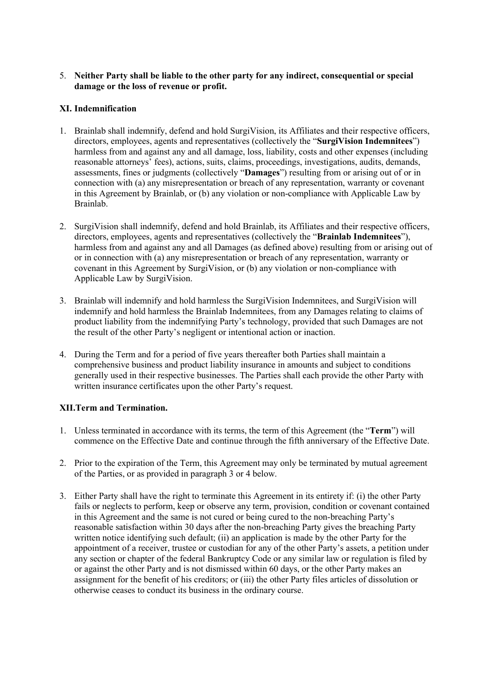# 5. Neither Party shall be liable to the other party for any indirect, consequential or special damage or the loss of revenue or profit.

# XI. Indemnification

- 1. Brainlab shall indemnify, defend and hold SurgiVision, its Affiliates and their respective officers, directors, employees, agents and representatives (collectively the "SurgiVision Indemnitees") harmless from and against any and all damage, loss, liability, costs and other expenses (including reasonable attorneys' fees), actions, suits, claims, proceedings, investigations, audits, demands, assessments, fines or judgments (collectively "Damages") resulting from or arising out of or in connection with (a) any misrepresentation or breach of any representation, warranty or covenant in this Agreement by Brainlab, or (b) any violation or non-compliance with Applicable Law by Brainlab.
- 2. SurgiVision shall indemnify, defend and hold Brainlab, its Affiliates and their respective officers, directors, employees, agents and representatives (collectively the "Brainlab Indemnitees"), harmless from and against any and all Damages (as defined above) resulting from or arising out of or in connection with (a) any misrepresentation or breach of any representation, warranty or covenant in this Agreement by SurgiVision, or (b) any violation or non-compliance with Applicable Law by SurgiVision.
- 3. Brainlab will indemnify and hold harmless the SurgiVision Indemnitees, and SurgiVision will indemnify and hold harmless the Brainlab Indemnitees, from any Damages relating to claims of product liability from the indemnifying Party's technology, provided that such Damages are not the result of the other Party's negligent or intentional action or inaction.
- 4. During the Term and for a period of five years thereafter both Parties shall maintain a comprehensive business and product liability insurance in amounts and subject to conditions generally used in their respective businesses. The Parties shall each provide the other Party with written insurance certificates upon the other Party's request.

# XII.Term and Termination.

- 1. Unless terminated in accordance with its terms, the term of this Agreement (the "Term") will commence on the Effective Date and continue through the fifth anniversary of the Effective Date.
- 2. Prior to the expiration of the Term, this Agreement may only be terminated by mutual agreement of the Parties, or as provided in paragraph 3 or 4 below.
- 3. Either Party shall have the right to terminate this Agreement in its entirety if: (i) the other Party fails or neglects to perform, keep or observe any term, provision, condition or covenant contained in this Agreement and the same is not cured or being cured to the non-breaching Party's reasonable satisfaction within 30 days after the non-breaching Party gives the breaching Party written notice identifying such default; (ii) an application is made by the other Party for the appointment of a receiver, trustee or custodian for any of the other Party's assets, a petition under any section or chapter of the federal Bankruptcy Code or any similar law or regulation is filed by or against the other Party and is not dismissed within 60 days, or the other Party makes an assignment for the benefit of his creditors; or (iii) the other Party files articles of dissolution or otherwise ceases to conduct its business in the ordinary course.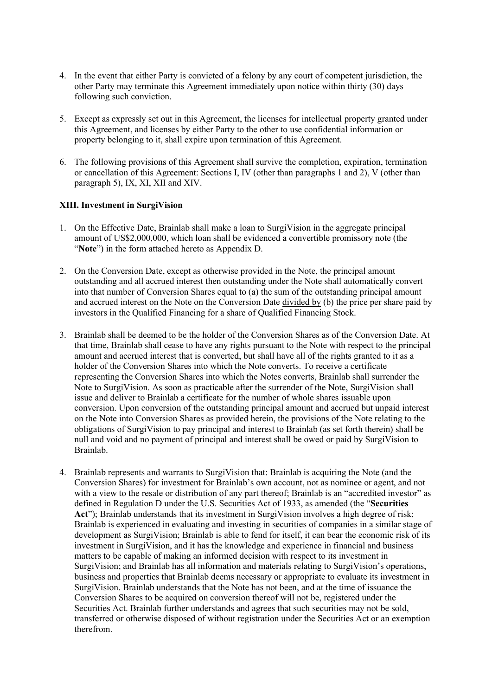- 4. In the event that either Party is convicted of a felony by any court of competent jurisdiction, the other Party may terminate this Agreement immediately upon notice within thirty (30) days following such conviction.
- 5. Except as expressly set out in this Agreement, the licenses for intellectual property granted under this Agreement, and licenses by either Party to the other to use confidential information or property belonging to it, shall expire upon termination of this Agreement.
- 6. The following provisions of this Agreement shall survive the completion, expiration, termination or cancellation of this Agreement: Sections I, IV (other than paragraphs 1 and 2), V (other than paragraph 5), IX, XI, XII and XIV.

# XIII. Investment in SurgiVision

- 1. On the Effective Date, Brainlab shall make a loan to SurgiVision in the aggregate principal amount of US\$2,000,000, which loan shall be evidenced a convertible promissory note (the "Note") in the form attached hereto as Appendix D.
- 2. On the Conversion Date, except as otherwise provided in the Note, the principal amount outstanding and all accrued interest then outstanding under the Note shall automatically convert into that number of Conversion Shares equal to (a) the sum of the outstanding principal amount and accrued interest on the Note on the Conversion Date divided by (b) the price per share paid by investors in the Qualified Financing for a share of Qualified Financing Stock.
- 3. Brainlab shall be deemed to be the holder of the Conversion Shares as of the Conversion Date. At that time, Brainlab shall cease to have any rights pursuant to the Note with respect to the principal amount and accrued interest that is converted, but shall have all of the rights granted to it as a holder of the Conversion Shares into which the Note converts. To receive a certificate representing the Conversion Shares into which the Notes converts, Brainlab shall surrender the Note to SurgiVision. As soon as practicable after the surrender of the Note, SurgiVision shall issue and deliver to Brainlab a certificate for the number of whole shares issuable upon conversion. Upon conversion of the outstanding principal amount and accrued but unpaid interest on the Note into Conversion Shares as provided herein, the provisions of the Note relating to the obligations of SurgiVision to pay principal and interest to Brainlab (as set forth therein) shall be null and void and no payment of principal and interest shall be owed or paid by SurgiVision to Brainlab.
- 4. Brainlab represents and warrants to SurgiVision that: Brainlab is acquiring the Note (and the Conversion Shares) for investment for Brainlab's own account, not as nominee or agent, and not with a view to the resale or distribution of any part thereof; Brainlab is an "accredited investor" as defined in Regulation D under the U.S. Securities Act of 1933, as amended (the "Securities Act"); Brainlab understands that its investment in SurgiVision involves a high degree of risk; Brainlab is experienced in evaluating and investing in securities of companies in a similar stage of development as SurgiVision; Brainlab is able to fend for itself, it can bear the economic risk of its investment in SurgiVision, and it has the knowledge and experience in financial and business matters to be capable of making an informed decision with respect to its investment in SurgiVision; and Brainlab has all information and materials relating to SurgiVision's operations, business and properties that Brainlab deems necessary or appropriate to evaluate its investment in SurgiVision. Brainlab understands that the Note has not been, and at the time of issuance the Conversion Shares to be acquired on conversion thereof will not be, registered under the Securities Act. Brainlab further understands and agrees that such securities may not be sold, transferred or otherwise disposed of without registration under the Securities Act or an exemption therefrom.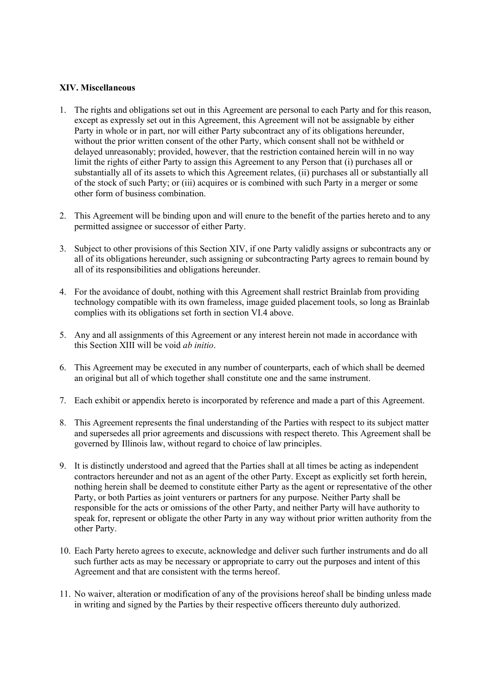# XIV. Miscellaneous

- 1. The rights and obligations set out in this Agreement are personal to each Party and for this reason, except as expressly set out in this Agreement, this Agreement will not be assignable by either Party in whole or in part, nor will either Party subcontract any of its obligations hereunder, without the prior written consent of the other Party, which consent shall not be withheld or delayed unreasonably; provided, however, that the restriction contained herein will in no way limit the rights of either Party to assign this Agreement to any Person that (i) purchases all or substantially all of its assets to which this Agreement relates, (ii) purchases all or substantially all of the stock of such Party; or (iii) acquires or is combined with such Party in a merger or some other form of business combination.
- 2. This Agreement will be binding upon and will enure to the benefit of the parties hereto and to any permitted assignee or successor of either Party.
- 3. Subject to other provisions of this Section XIV, if one Party validly assigns or subcontracts any or all of its obligations hereunder, such assigning or subcontracting Party agrees to remain bound by all of its responsibilities and obligations hereunder.
- 4. For the avoidance of doubt, nothing with this Agreement shall restrict Brainlab from providing technology compatible with its own frameless, image guided placement tools, so long as Brainlab complies with its obligations set forth in section VI.4 above.
- 5. Any and all assignments of this Agreement or any interest herein not made in accordance with this Section XIII will be void ab initio.
- 6. This Agreement may be executed in any number of counterparts, each of which shall be deemed an original but all of which together shall constitute one and the same instrument.
- 7. Each exhibit or appendix hereto is incorporated by reference and made a part of this Agreement.
- 8. This Agreement represents the final understanding of the Parties with respect to its subject matter and supersedes all prior agreements and discussions with respect thereto. This Agreement shall be governed by Illinois law, without regard to choice of law principles.
- 9. It is distinctly understood and agreed that the Parties shall at all times be acting as independent contractors hereunder and not as an agent of the other Party. Except as explicitly set forth herein, nothing herein shall be deemed to constitute either Party as the agent or representative of the other Party, or both Parties as joint venturers or partners for any purpose. Neither Party shall be responsible for the acts or omissions of the other Party, and neither Party will have authority to speak for, represent or obligate the other Party in any way without prior written authority from the other Party.
- 10. Each Party hereto agrees to execute, acknowledge and deliver such further instruments and do all such further acts as may be necessary or appropriate to carry out the purposes and intent of this Agreement and that are consistent with the terms hereof.
- 11. No waiver, alteration or modification of any of the provisions hereof shall be binding unless made in writing and signed by the Parties by their respective officers thereunto duly authorized.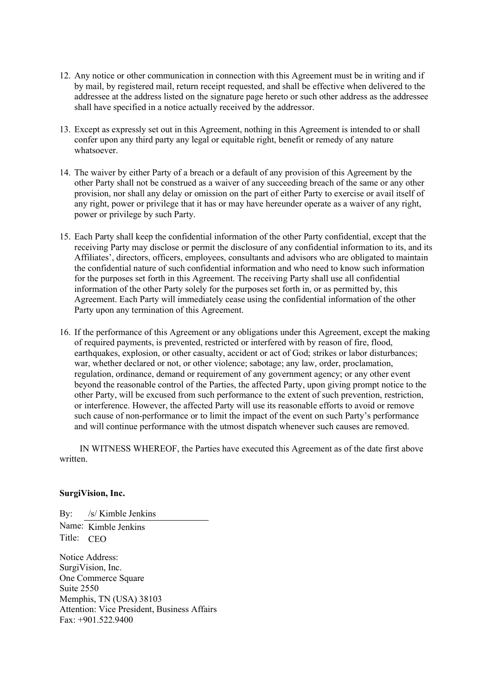- 12. Any notice or other communication in connection with this Agreement must be in writing and if by mail, by registered mail, return receipt requested, and shall be effective when delivered to the addressee at the address listed on the signature page hereto or such other address as the addressee shall have specified in a notice actually received by the addressor.
- 13. Except as expressly set out in this Agreement, nothing in this Agreement is intended to or shall confer upon any third party any legal or equitable right, benefit or remedy of any nature whatsoever.
- 14. The waiver by either Party of a breach or a default of any provision of this Agreement by the other Party shall not be construed as a waiver of any succeeding breach of the same or any other provision, nor shall any delay or omission on the part of either Party to exercise or avail itself of any right, power or privilege that it has or may have hereunder operate as a waiver of any right, power or privilege by such Party.
- 15. Each Party shall keep the confidential information of the other Party confidential, except that the receiving Party may disclose or permit the disclosure of any confidential information to its, and its Affiliates', directors, officers, employees, consultants and advisors who are obligated to maintain the confidential nature of such confidential information and who need to know such information for the purposes set forth in this Agreement. The receiving Party shall use all confidential information of the other Party solely for the purposes set forth in, or as permitted by, this Agreement. Each Party will immediately cease using the confidential information of the other Party upon any termination of this Agreement.
- 16. If the performance of this Agreement or any obligations under this Agreement, except the making of required payments, is prevented, restricted or interfered with by reason of fire, flood, earthquakes, explosion, or other casualty, accident or act of God; strikes or labor disturbances; war, whether declared or not, or other violence; sabotage; any law, order, proclamation, regulation, ordinance, demand or requirement of any government agency; or any other event beyond the reasonable control of the Parties, the affected Party, upon giving prompt notice to the other Party, will be excused from such performance to the extent of such prevention, restriction, or interference. However, the affected Party will use its reasonable efforts to avoid or remove such cause of non-performance or to limit the impact of the event on such Party's performance and will continue performance with the utmost dispatch whenever such causes are removed.

IN WITNESS WHEREOF, the Parties have executed this Agreement as of the date first above written.

# SurgiVision, Inc.

By: /s/ Kimble Jenkins Name: Kimble Jenkins Title: CEO

Notice Address: SurgiVision, Inc. One Commerce Square Suite 2550 Memphis, TN (USA) 38103 Attention: Vice President, Business Affairs Fax: +901.522.9400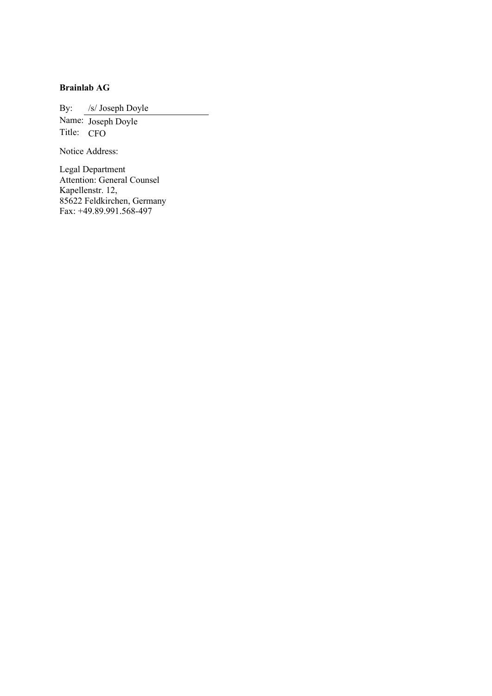# Brainlab AG

By: /s/ Joseph Doyle

Name: Joseph Doyle Title: CFO

Notice Address:

Legal Department Attention: General Counsel Kapellenstr. 12, 85622 Feldkirchen, Germany Fax: +49.89.991.568-497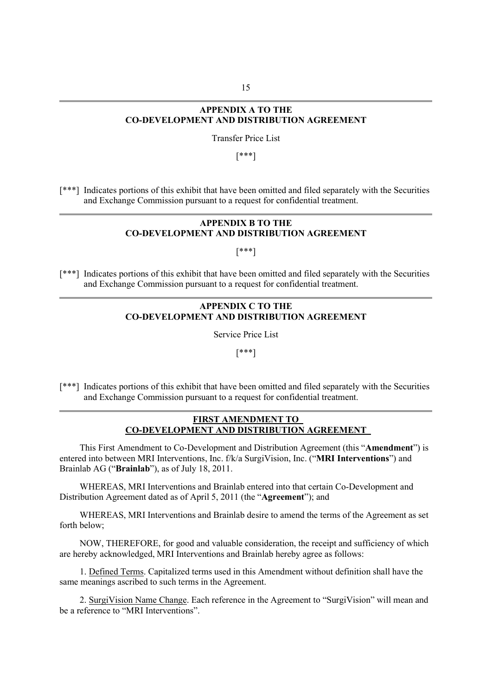# APPENDIX A TO THE CO-DEVELOPMENT AND DISTRIBUTION AGREEMENT

Transfer Price List

[\*\*\*]

[\*\*\*] Indicates portions of this exhibit that have been omitted and filed separately with the Securities and Exchange Commission pursuant to a request for confidential treatment.

### APPENDIX B TO THE CO-DEVELOPMENT AND DISTRIBUTION AGREEMENT

[\*\*\*]

[\*\*\*] Indicates portions of this exhibit that have been omitted and filed separately with the Securities and Exchange Commission pursuant to a request for confidential treatment.

# APPENDIX C TO THE CO-DEVELOPMENT AND DISTRIBUTION AGREEMENT

Service Price List

[\*\*\*]

[\*\*\*] Indicates portions of this exhibit that have been omitted and filed separately with the Securities and Exchange Commission pursuant to a request for confidential treatment.

# FIRST AMENDMENT TO CO-DEVELOPMENT AND DISTRIBUTION AGREEMENT

This First Amendment to Co-Development and Distribution Agreement (this "Amendment") is entered into between MRI Interventions, Inc. f/k/a SurgiVision, Inc. ("MRI Interventions") and Brainlab AG ("Brainlab"), as of July 18, 2011.

WHEREAS, MRI Interventions and Brainlab entered into that certain Co-Development and Distribution Agreement dated as of April 5, 2011 (the "Agreement"); and

WHEREAS, MRI Interventions and Brainlab desire to amend the terms of the Agreement as set forth below;

NOW, THEREFORE, for good and valuable consideration, the receipt and sufficiency of which are hereby acknowledged, MRI Interventions and Brainlab hereby agree as follows:

1. Defined Terms. Capitalized terms used in this Amendment without definition shall have the same meanings ascribed to such terms in the Agreement.

2. SurgiVision Name Change. Each reference in the Agreement to "SurgiVision" will mean and be a reference to "MRI Interventions".